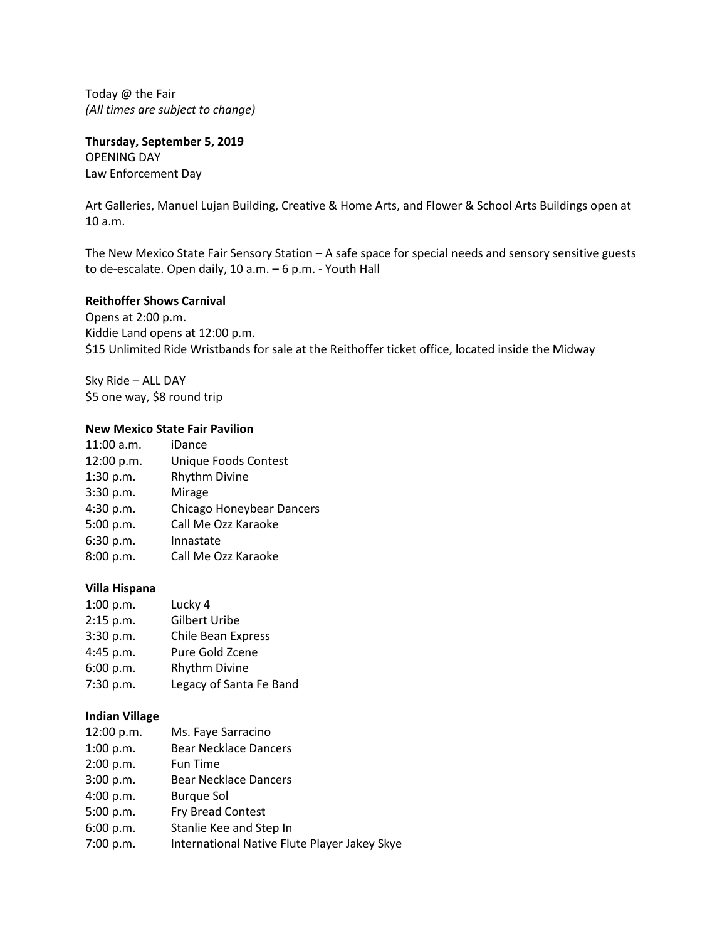Today @ the Fair *(All times are subject to change)*

**Thursday, September 5, 2019** OPENING DAY

Law Enforcement Day

Art Galleries, Manuel Lujan Building, Creative & Home Arts, and Flower & School Arts Buildings open at 10 a.m.

The New Mexico State Fair Sensory Station – A safe space for special needs and sensory sensitive guests to de-escalate. Open daily, 10 a.m. – 6 p.m. - Youth Hall

## **Reithoffer Shows Carnival**

Opens at 2:00 p.m. Kiddie Land opens at 12:00 p.m. \$15 Unlimited Ride Wristbands for sale at the Reithoffer ticket office, located inside the Midway

Sky Ride – ALL DAY \$5 one way, \$8 round trip

#### **New Mexico State Fair Pavilion**

| 11:00 a.m. | iDance                    |
|------------|---------------------------|
| 12:00 p.m. | Unique Foods Contest      |
| 1:30 p.m.  | <b>Rhythm Divine</b>      |
| 3:30 p.m.  | Mirage                    |
| 4:30 p.m.  | Chicago Honeybear Dancers |
| 5:00 p.m.  | Call Me Ozz Karaoke       |
| 6:30 p.m.  | Innastate                 |
| 8:00 p.m.  | Call Me Ozz Karaoke       |

## **Villa Hispana**

| 1:00 p.m. | Lucky 4                 |
|-----------|-------------------------|
| 2:15 p.m. | <b>Gilbert Uribe</b>    |
| 3:30 p.m. | Chile Bean Express      |
| 4:45 p.m. | Pure Gold Zcene         |
| 6:00 p.m. | <b>Rhythm Divine</b>    |
| 7:30 p.m. | Legacy of Santa Fe Band |

#### **Indian Village**

| 12:00 p.m. | Ms. Faye Sarracino                           |
|------------|----------------------------------------------|
| 1:00 p.m.  | <b>Bear Necklace Dancers</b>                 |
| 2:00 p.m.  | <b>Fun Time</b>                              |
| 3:00 p.m.  | <b>Bear Necklace Dancers</b>                 |
| 4:00 p.m.  | <b>Burgue Sol</b>                            |
| 5:00 p.m.  | Fry Bread Contest                            |
| 6:00 p.m.  | Stanlie Kee and Step In                      |
| 7:00 p.m.  | International Native Flute Player Jakey Skye |
|            |                                              |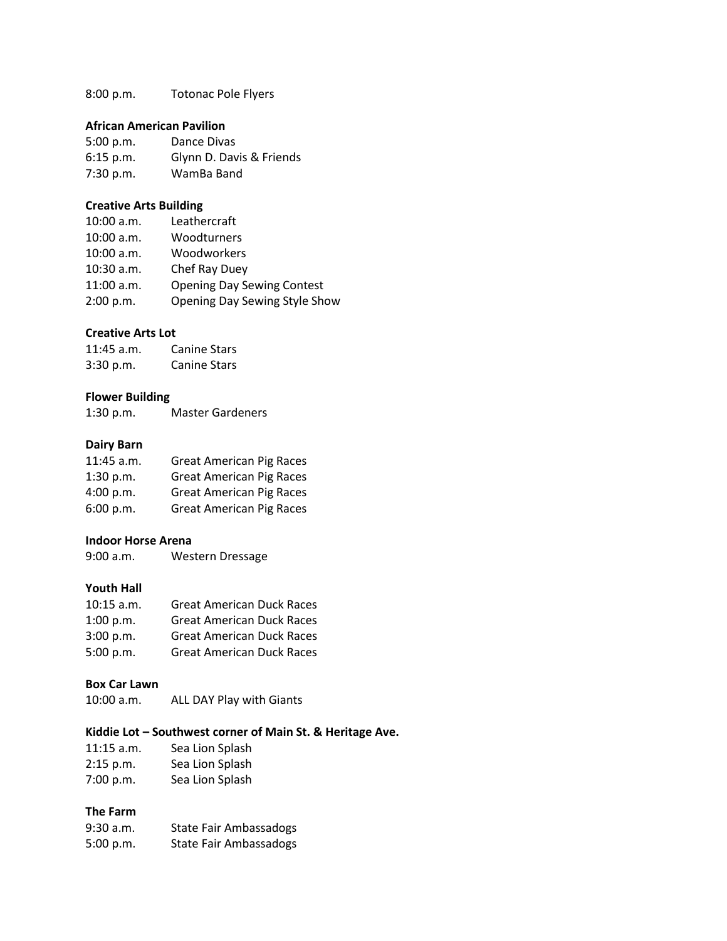8:00 p.m. Totonac Pole Flyers

### **African American Pavilion**

5:00 p.m. Dance Divas Glynn D. Davis & Friends 7:30 p.m. WamBa Band

## **Creative Arts Building**

| $10:00$ a.m. | Leathercraft                         |
|--------------|--------------------------------------|
| 10:00 a.m.   | Woodturners                          |
| 10:00 a.m.   | Woodworkers                          |
| 10:30 a.m.   | Chef Ray Duey                        |
| $11:00$ a.m. | <b>Opening Day Sewing Contest</b>    |
| 2:00 p.m.    | <b>Opening Day Sewing Style Show</b> |

# **Creative Arts Lot**

| $11:45$ a.m. | <b>Canine Stars</b> |
|--------------|---------------------|
| 3:30 p.m.    | <b>Canine Stars</b> |

# **Flower Building**

1:30 p.m. Master Gardeners

## **Dairy Barn**

| $11:45$ a.m. | <b>Great American Pig Races</b> |
|--------------|---------------------------------|
| $1:30$ p.m.  | <b>Great American Pig Races</b> |
| 4:00 p.m.    | <b>Great American Pig Races</b> |
| 6:00 p.m.    | <b>Great American Pig Races</b> |

#### **Indoor Horse Arena**

| 9:00 a.m. | <b>Western Dressage</b> |
|-----------|-------------------------|
|-----------|-------------------------|

# **Youth Hall**

| $10:15$ a.m. | <b>Great American Duck Races</b> |
|--------------|----------------------------------|
| 1:00 p.m.    | <b>Great American Duck Races</b> |
| 3:00 p.m.    | <b>Great American Duck Races</b> |
| 5:00 p.m.    | <b>Great American Duck Races</b> |

#### **Box Car Lawn**

10:00 a.m. ALL DAY Play with Giants

# **Kiddie Lot – Southwest corner of Main St. & Heritage Ave.**

| $11:15$ a.m. | Sea Lion Splash |
|--------------|-----------------|
| 2:15 p.m.    | Sea Lion Splash |
| 7:00 p.m.    | Sea Lion Splash |

# **The Farm**

| 9:30 a.m. | State Fair Ambassadogs |
|-----------|------------------------|
| 5:00 p.m. | State Fair Ambassadogs |